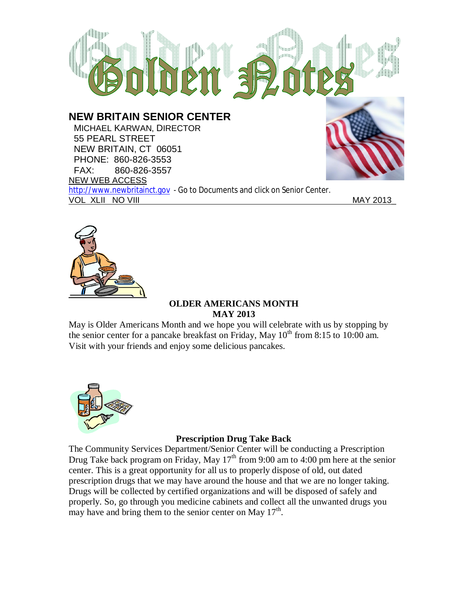

**NEW BRITAIN SENIOR CENTER**

 MICHAEL KARWAN, DIRECTOR 55 PEARL STREET NEW BRITAIN, CT 06051 PHONE: 860-826-3553 FAX: 860-826-3557 NEW WEB ACCESS http://www.newbritainct.gov - Go to Documents and click on Senior Center. VOL XLII NO VIII MAY 2013



#### **OLDER AMERICANS MONTH MAY 2013**

May is Older Americans Month and we hope you will celebrate with us by stopping by the senior center for a pancake breakfast on Friday, May  $10^{th}$  from 8:15 to 10:00 am. Visit with your friends and enjoy some delicious pancakes.



## **Prescription Drug Take Back**

The Community Services Department/Senior Center will be conducting a Prescription Drug Take back program on Friday, May 17<sup>th</sup> from 9:00 am to 4:00 pm here at the senior center. This is a great opportunity for all us to properly dispose of old, out dated prescription drugs that we may have around the house and that we are no longer taking. Drugs will be collected by certified organizations and will be disposed of safely and properly. So, go through you medicine cabinets and collect all the unwanted drugs you may have and bring them to the senior center on May  $17<sup>th</sup>$ .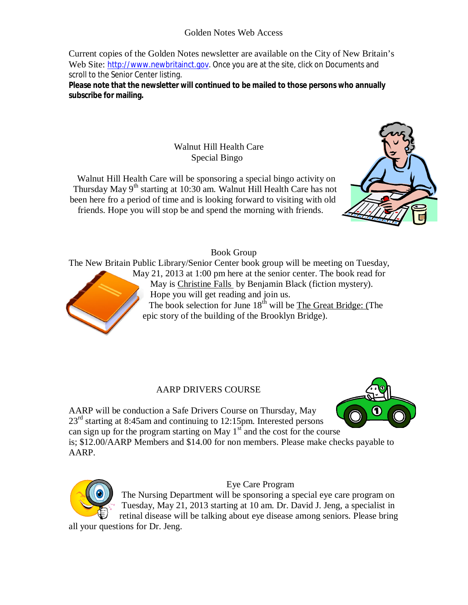# Golden Notes Web Access

Current copies of the Golden Notes newsletter are available on the City of New Britain's Web Site: http://www.newbritainct.gov. Once you are at the site, click on Documents and scroll to the Senior Center listing.

**Please note that the newsletter will continued to be mailed to those persons who annually subscribe for mailing.**

> Walnut Hill Health Care Special Bingo

Walnut Hill Health Care will be sponsoring a special bingo activity on Thursday May  $9<sup>th</sup>$  starting at 10:30 am. Walnut Hill Health Care has not been here fro a period of time and is looking forward to visiting with old friends. Hope you will stop be and spend the morning with friends.



# Book Group

The New Britain Public Library/Senior Center book group will be meeting on Tuesday,



The book selection for June  $18<sup>th</sup>$  will be The Great Bridge: (The epic story of the building of the Brooklyn Bridge).

## AARP DRIVERS COURSE

AARP will be conduction a Safe Drivers Course on Thursday, May  $23<sup>rd</sup>$  starting at 8:45am and continuing to 12:15pm. Interested persons can sign up for the program starting on May  $1<sup>st</sup>$  and the cost for the course

is; \$12.00/AARP Members and \$14.00 for non members. Please make checks payable to AARP.



Eye Care Program

The Nursing Department will be sponsoring a special eye care program on Tuesday, May 21, 2013 starting at 10 am. Dr. David J. Jeng, a specialist in retinal disease will be talking about eye disease among seniors. Please bring

all your questions for Dr. Jeng.